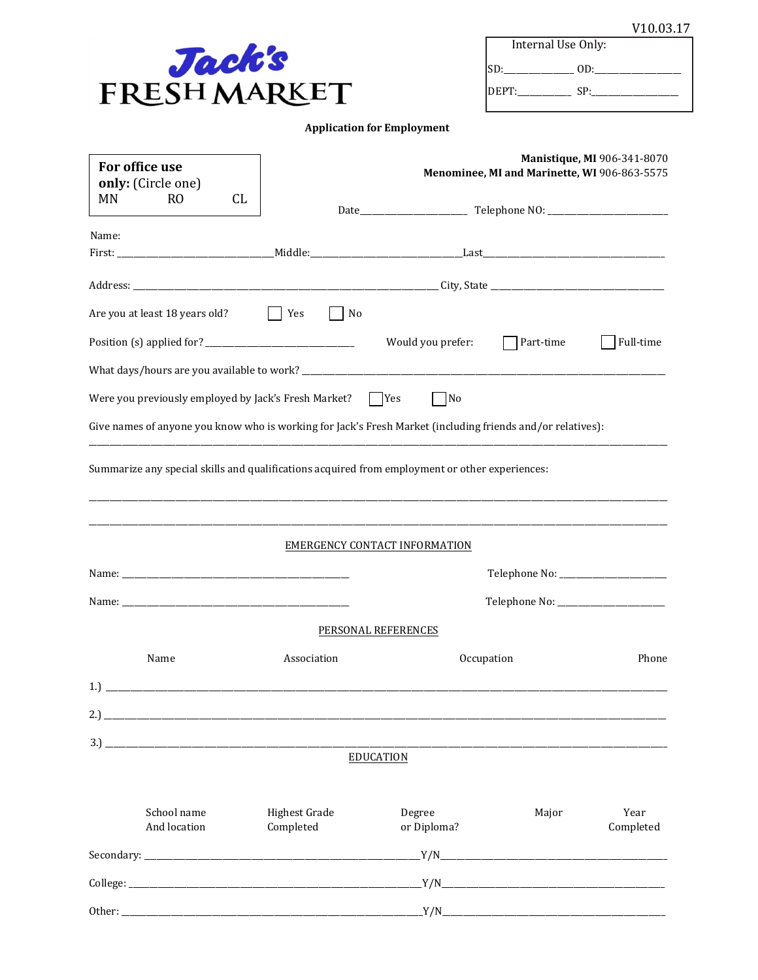| V10.03.17 |  |
|-----------|--|
|           |  |

| Jack's              |
|---------------------|
| <b>FRESH MARKET</b> |

| Internal Use Only: |     |  |
|--------------------|-----|--|
| ISD:               | OD: |  |
| IDEPT:             | SP. |  |

| For office use<br>only: (Circle one) |                                                      | Manistique, MI 906-341-8070<br>Menominee, MI and Marinette, WI 906-863-5575                                |                               |            |                   |
|--------------------------------------|------------------------------------------------------|------------------------------------------------------------------------------------------------------------|-------------------------------|------------|-------------------|
| MN                                   | R <sub>O</sub><br>CL.                                |                                                                                                            |                               |            |                   |
| Name:                                |                                                      |                                                                                                            |                               |            |                   |
|                                      |                                                      |                                                                                                            |                               |            |                   |
|                                      |                                                      |                                                                                                            |                               |            |                   |
|                                      | Are you at least 18 years old?                       | $ $ Yes<br>No                                                                                              |                               |            |                   |
|                                      |                                                      |                                                                                                            | Would you prefer:             | Part-time  | Full-time         |
|                                      |                                                      |                                                                                                            |                               |            |                   |
|                                      | Were you previously employed by Jack's Fresh Market? |                                                                                                            | $\Box$ Yes<br>$\Box$ No       |            |                   |
|                                      |                                                      | Give names of anyone you know who is working for Jack's Fresh Market (including friends and/or relatives): |                               |            |                   |
|                                      |                                                      |                                                                                                            |                               |            |                   |
|                                      |                                                      | Summarize any special skills and qualifications acquired from employment or other experiences:             |                               |            |                   |
|                                      |                                                      |                                                                                                            | EMERGENCY CONTACT INFORMATION |            |                   |
|                                      |                                                      |                                                                                                            |                               |            |                   |
|                                      |                                                      |                                                                                                            |                               |            |                   |
|                                      |                                                      |                                                                                                            | PERSONAL REFERENCES           |            |                   |
|                                      | Name                                                 | Association                                                                                                |                               | Occupation | Phone             |
|                                      |                                                      |                                                                                                            |                               |            |                   |
|                                      |                                                      |                                                                                                            |                               |            |                   |
|                                      |                                                      |                                                                                                            |                               |            |                   |
|                                      |                                                      |                                                                                                            | <b>EDUCATION</b>              |            |                   |
|                                      |                                                      |                                                                                                            |                               |            |                   |
|                                      | School name<br>And location                          | <b>Highest Grade</b><br>Completed                                                                          | Degree<br>or Diploma?         | Major      | Year<br>Completed |
|                                      |                                                      |                                                                                                            |                               |            |                   |
|                                      |                                                      |                                                                                                            |                               |            |                   |
|                                      |                                                      |                                                                                                            |                               |            |                   |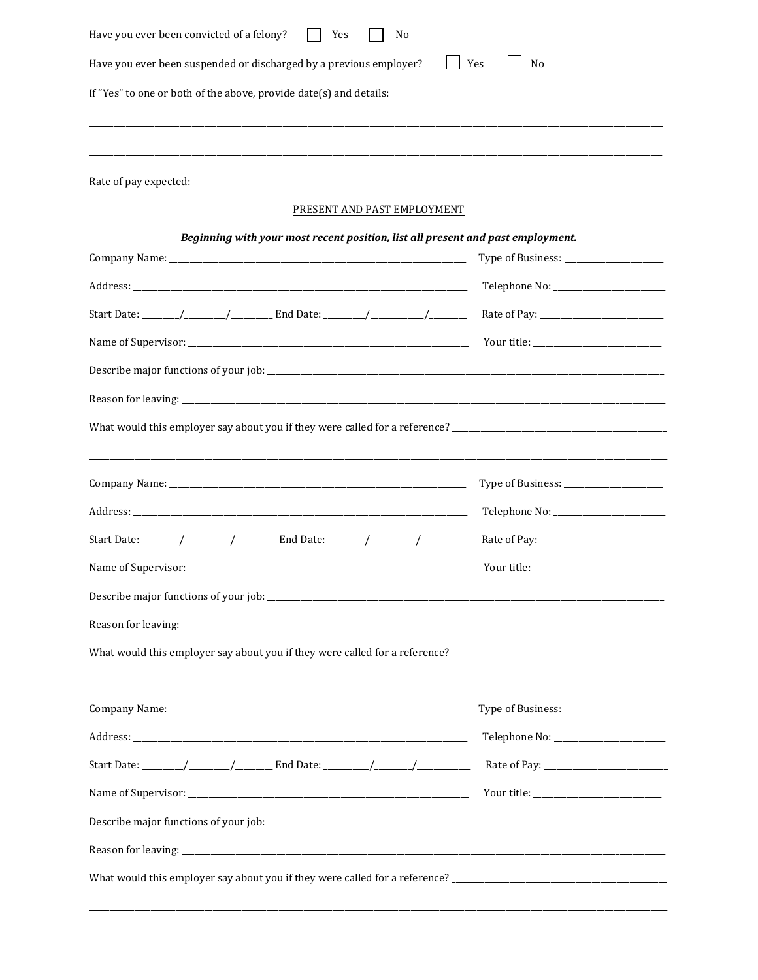| Have you ever been convicted of a felony?<br>Yes<br>No                                                                                                                                                                         |                                                                                                                                                                                                                                                                                                                                                                                                                                                                                                                                                  |  |  |  |  |  |
|--------------------------------------------------------------------------------------------------------------------------------------------------------------------------------------------------------------------------------|--------------------------------------------------------------------------------------------------------------------------------------------------------------------------------------------------------------------------------------------------------------------------------------------------------------------------------------------------------------------------------------------------------------------------------------------------------------------------------------------------------------------------------------------------|--|--|--|--|--|
| Have you ever been suspended or discharged by a previous employer?<br>Yes<br>N <sub>0</sub>                                                                                                                                    |                                                                                                                                                                                                                                                                                                                                                                                                                                                                                                                                                  |  |  |  |  |  |
| If "Yes" to one or both of the above, provide date(s) and details:                                                                                                                                                             |                                                                                                                                                                                                                                                                                                                                                                                                                                                                                                                                                  |  |  |  |  |  |
|                                                                                                                                                                                                                                |                                                                                                                                                                                                                                                                                                                                                                                                                                                                                                                                                  |  |  |  |  |  |
|                                                                                                                                                                                                                                |                                                                                                                                                                                                                                                                                                                                                                                                                                                                                                                                                  |  |  |  |  |  |
|                                                                                                                                                                                                                                |                                                                                                                                                                                                                                                                                                                                                                                                                                                                                                                                                  |  |  |  |  |  |
| PRESENT AND PAST EMPLOYMENT                                                                                                                                                                                                    |                                                                                                                                                                                                                                                                                                                                                                                                                                                                                                                                                  |  |  |  |  |  |
| Beginning with your most recent position, list all present and past employment.                                                                                                                                                |                                                                                                                                                                                                                                                                                                                                                                                                                                                                                                                                                  |  |  |  |  |  |
|                                                                                                                                                                                                                                |                                                                                                                                                                                                                                                                                                                                                                                                                                                                                                                                                  |  |  |  |  |  |
|                                                                                                                                                                                                                                |                                                                                                                                                                                                                                                                                                                                                                                                                                                                                                                                                  |  |  |  |  |  |
|                                                                                                                                                                                                                                |                                                                                                                                                                                                                                                                                                                                                                                                                                                                                                                                                  |  |  |  |  |  |
|                                                                                                                                                                                                                                |                                                                                                                                                                                                                                                                                                                                                                                                                                                                                                                                                  |  |  |  |  |  |
|                                                                                                                                                                                                                                |                                                                                                                                                                                                                                                                                                                                                                                                                                                                                                                                                  |  |  |  |  |  |
| Reason for leaving: the contract of the contract of the contract of the contract of the contract of the contract of the contract of the contract of the contract of the contract of the contract of the contract of the contra |                                                                                                                                                                                                                                                                                                                                                                                                                                                                                                                                                  |  |  |  |  |  |
|                                                                                                                                                                                                                                |                                                                                                                                                                                                                                                                                                                                                                                                                                                                                                                                                  |  |  |  |  |  |
|                                                                                                                                                                                                                                |                                                                                                                                                                                                                                                                                                                                                                                                                                                                                                                                                  |  |  |  |  |  |
|                                                                                                                                                                                                                                |                                                                                                                                                                                                                                                                                                                                                                                                                                                                                                                                                  |  |  |  |  |  |
|                                                                                                                                                                                                                                |                                                                                                                                                                                                                                                                                                                                                                                                                                                                                                                                                  |  |  |  |  |  |
|                                                                                                                                                                                                                                |                                                                                                                                                                                                                                                                                                                                                                                                                                                                                                                                                  |  |  |  |  |  |
|                                                                                                                                                                                                                                | $\begin{minipage}{.4\linewidth} \textbf{Your title:}\footnotesize \begin{minipage}{.4\linewidth} \centering \end{minipage} \vspace{0.5cm} \begin{minipage}{.4\linewidth} \centering \end{minipage} \vspace{0.5cm} \begin{minipage}{.4\linewidth} \centering \end{minipage} \vspace{0.5cm} \begin{minipage}{.4\linewidth} \centering \end{minipage} \vspace{0.5cm} \begin{minipage}{.4\linewidth} \centering \end{minipage} \vspace{0.5cm} \begin{minipage}{.4\linewidth} \centering \end{minipage} \vspace{0.5cm} \begin{minipage}{.4\linewidth$ |  |  |  |  |  |
|                                                                                                                                                                                                                                |                                                                                                                                                                                                                                                                                                                                                                                                                                                                                                                                                  |  |  |  |  |  |
|                                                                                                                                                                                                                                |                                                                                                                                                                                                                                                                                                                                                                                                                                                                                                                                                  |  |  |  |  |  |
|                                                                                                                                                                                                                                |                                                                                                                                                                                                                                                                                                                                                                                                                                                                                                                                                  |  |  |  |  |  |
|                                                                                                                                                                                                                                |                                                                                                                                                                                                                                                                                                                                                                                                                                                                                                                                                  |  |  |  |  |  |
|                                                                                                                                                                                                                                |                                                                                                                                                                                                                                                                                                                                                                                                                                                                                                                                                  |  |  |  |  |  |
|                                                                                                                                                                                                                                |                                                                                                                                                                                                                                                                                                                                                                                                                                                                                                                                                  |  |  |  |  |  |
|                                                                                                                                                                                                                                |                                                                                                                                                                                                                                                                                                                                                                                                                                                                                                                                                  |  |  |  |  |  |
|                                                                                                                                                                                                                                |                                                                                                                                                                                                                                                                                                                                                                                                                                                                                                                                                  |  |  |  |  |  |
|                                                                                                                                                                                                                                |                                                                                                                                                                                                                                                                                                                                                                                                                                                                                                                                                  |  |  |  |  |  |
|                                                                                                                                                                                                                                |                                                                                                                                                                                                                                                                                                                                                                                                                                                                                                                                                  |  |  |  |  |  |
|                                                                                                                                                                                                                                |                                                                                                                                                                                                                                                                                                                                                                                                                                                                                                                                                  |  |  |  |  |  |
|                                                                                                                                                                                                                                |                                                                                                                                                                                                                                                                                                                                                                                                                                                                                                                                                  |  |  |  |  |  |